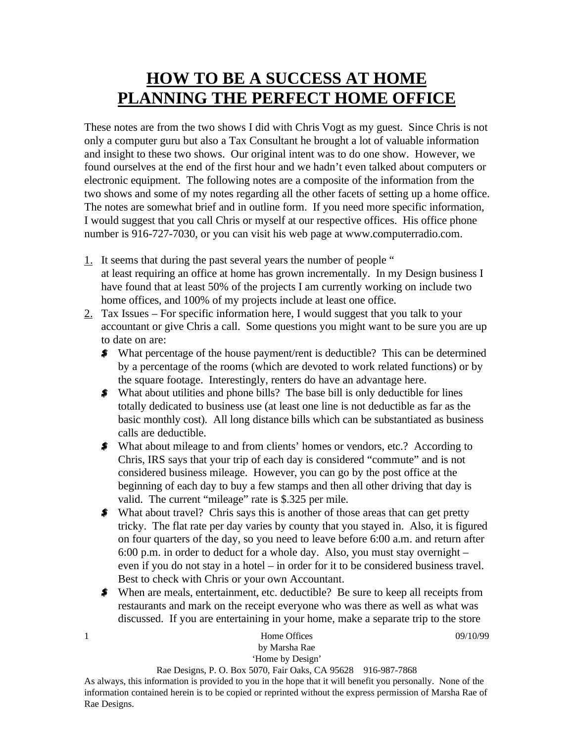## **HOW TO BE A SUCCESS AT HOME PLANNING THE PERFECT HOME OFFICE**

These notes are from the two shows I did with Chris Vogt as my guest. Since Chris is not only a computer guru but also a Tax Consultant he brought a lot of valuable information and insight to these two shows. Our original intent was to do one show. However, we found ourselves at the end of the first hour and we hadn't even talked about computers or electronic equipment. The following notes are a composite of the information from the two shows and some of my notes regarding all the other facets of setting up a home office. The notes are somewhat brief and in outline form. If you need more specific information, I would suggest that you call Chris or myself at our respective offices. His office phone number is 916-727-7030, or you can visit his web page at www.computerradio.com.

- 1. It seems that during the past several years the number of people " at least requiring an office at home has grown incrementally. In my Design business I have found that at least 50% of the projects I am currently working on include two home offices, and 100% of my projects include at least one office.
- $2.$  Tax Issues For specific information here, I would suggest that you talk to your accountant or give Chris a call. Some questions you might want to be sure you are up to date on are:
	- What percentage of the house payment/rent is deductible? This can be determined by a percentage of the rooms (which are devoted to work related functions) or by the square footage. Interestingly, renters do have an advantage here.
	- What about utilities and phone bills? The base bill is only deductible for lines totally dedicated to business use (at least one line is not deductible as far as the basic monthly cost). All long distance bills which can be substantiated as business calls are deductible.
	- What about mileage to and from clients' homes or vendors, etc.? According to Chris, IRS says that your trip of each day is considered "commute" and is not considered business mileage. However, you can go by the post office at the beginning of each day to buy a few stamps and then all other driving that day is valid. The current "mileage" rate is \$.325 per mile.
	- What about travel? Chris says this is another of those areas that can get pretty tricky. The flat rate per day varies by county that you stayed in. Also, it is figured on four quarters of the day, so you need to leave before 6:00 a.m. and return after 6:00 p.m. in order to deduct for a whole day. Also, you must stay overnight – even if you do not stay in a hotel – in order for it to be considered business travel. Best to check with Chris or your own Accountant.
	- When are meals, entertainment, etc. deductible? Be sure to keep all receipts from restaurants and mark on the receipt everyone who was there as well as what was discussed. If you are entertaining in your home, make a separate trip to the store

| Home Offices                                                                 | 09/10/99 |
|------------------------------------------------------------------------------|----------|
| by Marsha Rae                                                                |          |
| 'Home by Design'                                                             |          |
| $D_{00}$ Designs $D \cap R_{0x}$ 5070 $E_{0x}$ Oaks $C_A$ 05628 016 087 7868 |          |

Rae Designs, P. O. Box 5070, Fair Oaks, CA 95628 916-987-7868

As always, this information is provided to you in the hope that it will benefit you personally. None of the information contained herein is to be copied or reprinted without the express permission of Marsha Rae of Rae Designs.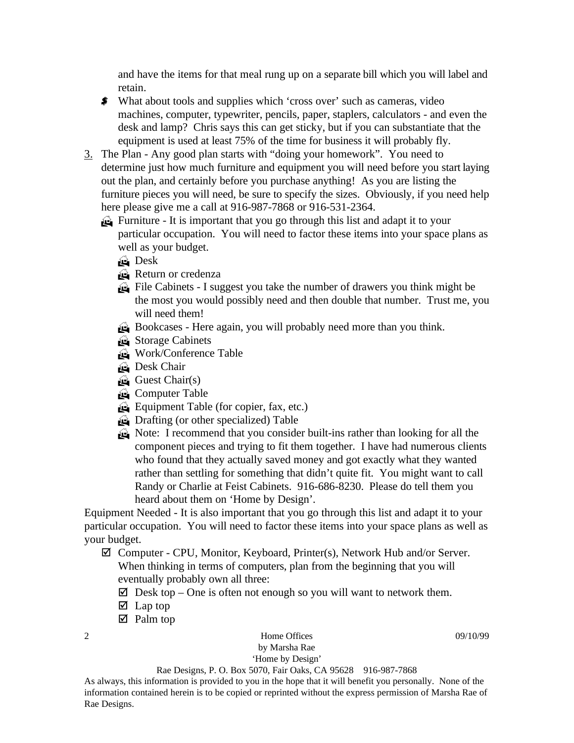and have the items for that meal rung up on a separate bill which you will label and retain.

- What about tools and supplies which 'cross over' such as cameras, video machines, computer, typewriter, pencils, paper, staplers, calculators - and even the desk and lamp? Chris says this can get sticky, but if you can substantiate that the equipment is used at least 75% of the time for business it will probably fly.
- 3. The Plan Any good plan starts with "doing your homework". You need to determine just how much furniture and equipment you will need before you start laying out the plan, and certainly before you purchase anything! As you are listing the furniture pieces you will need, be sure to specify the sizes. Obviously, if you need help here please give me a call at 916-987-7868 or 916-531-2364.
	- Furniture It is important that you go through this list and adapt it to your particular occupation. You will need to factor these items into your space plans as well as your budget.
		- **Pesk**
		- Return or credenza
		- File Cabinets I suggest you take the number of drawers you think might be the most you would possibly need and then double that number. Trust me, you will need them!
		- Bookcases Here again, you will probably need more than you think.
		- Storage Cabinets
		- Work/Conference Table
		- **B** Desk Chair
		- $\bigoplus$  Guest Chair(s)
		- Computer Table
		- Equipment Table (for copier, fax, etc.)
		- Drafting (or other specialized) Table
		- Note: I recommend that you consider built-ins rather than looking for all the component pieces and trying to fit them together. I have had numerous clients who found that they actually saved money and got exactly what they wanted rather than settling for something that didn't quite fit. You might want to call Randy or Charlie at Feist Cabinets. 916-686-8230. Please do tell them you heard about them on 'Home by Design'.

Equipment Needed - It is also important that you go through this list and adapt it to your particular occupation. You will need to factor these items into your space plans as well as your budget.

 $\boxtimes$  Computer - CPU, Monitor, Keyboard, Printer(s), Network Hub and/or Server. When thinking in terms of computers, plan from the beginning that you will eventually probably own all three:

- $\boxtimes$  Desk top One is often not enough so you will want to network them.
- $\boxtimes$  Lap top
- Palm top

## 2 and 100 Home Offices 199/10/99 by Marsha Rae

'Home by Design'

As always, this information is provided to you in the hope that it will benefit you personally. None of the information contained herein is to be copied or reprinted without the express permission of Marsha Rae of Rae Designs.